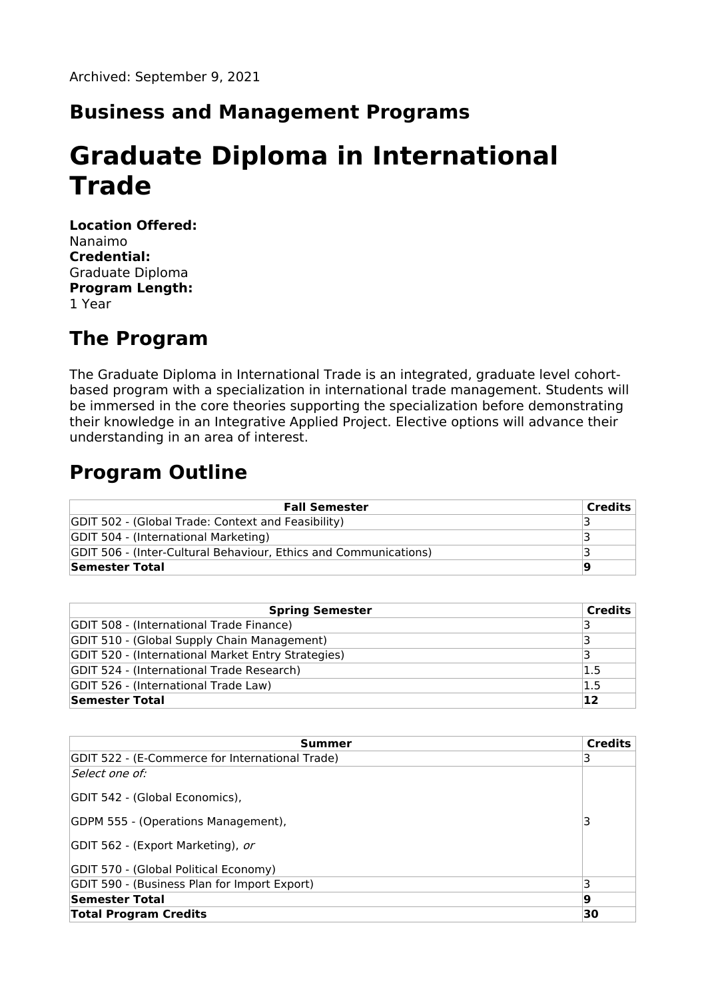#### **Business and Management Programs**

# **Graduate Diploma in International Trade**

**Location Offered:** Nanaimo **Credential:** Graduate Diploma **Program Length:** 1 Year

#### **The Program**

The Graduate Diploma in International Trade is an integrated, graduate level cohortbased program with a specialization in international trade management. Students will be immersed in the core theories supporting the specialization before demonstrating their knowledge in an Integrative Applied Project. Elective options will advance their understanding in an area of interest.

### **Program Outline**

| <b>Fall Semester</b>                                             | <b>Credits</b> |
|------------------------------------------------------------------|----------------|
| GDIT 502 - (Global Trade: Context and Feasibility)               |                |
| <b>GDIT 504 - (International Marketing)</b>                      |                |
| GDIT 506 - (Inter-Cultural Behaviour, Ethics and Communications) |                |
| Semester Total                                                   |                |

| <b>Spring Semester</b>                             | <b>Credits</b> |
|----------------------------------------------------|----------------|
| GDIT 508 - (International Trade Finance)           | っ              |
| GDIT 510 - (Global Supply Chain Management)        |                |
| GDIT 520 - (International Market Entry Strategies) |                |
| GDIT 524 - (International Trade Research)          | 1.5            |
| GDIT 526 - (International Trade Law)               | 1.5            |
| Semester Total                                     | 12             |

| Summer                                          | <b>Credits</b> |
|-------------------------------------------------|----------------|
| GDIT 522 - (E-Commerce for International Trade) | 3              |
| Select one of:                                  |                |
| GDIT 542 - (Global Economics),                  |                |
| GDPM 555 - (Operations Management),             | 3              |
| GDIT 562 - (Export Marketing), or               |                |
| GDIT 570 - (Global Political Economy)           |                |
| GDIT 590 - (Business Plan for Import Export)    | 3              |
| Semester Total                                  | 9              |
| <b>Total Program Credits</b>                    | 30             |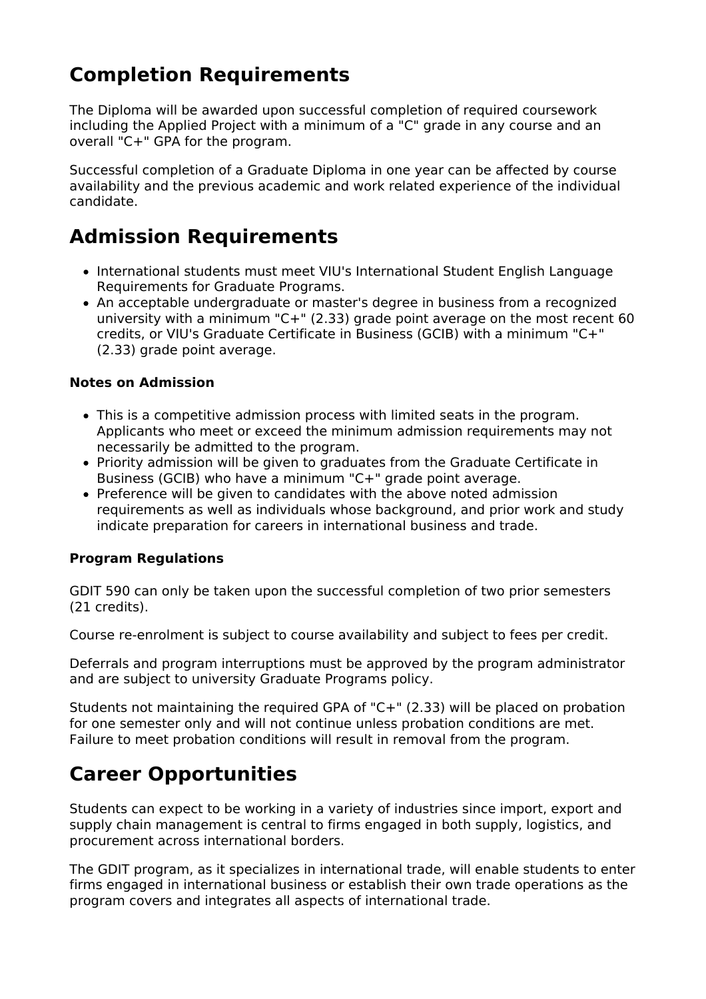# **Completion Requirements**

The Diploma will be awarded upon successful completion of required coursework including the Applied Project with a minimum of a "C" grade in any course and an overall "C+" GPA for the program.

Successful completion of a Graduate Diploma in one year can be affected by course availability and the previous academic and work related experience of the individual candidate.

### **Admission Requirements**

- International students must meet VIU's International Student English Language Requirements for Graduate Programs.
- An acceptable undergraduate or master's degree in business from a recognized university with a minimum "C+" (2.33) grade point average on the most recent 60 credits, or VIU's Graduate Certificate in Business (GCIB) with a minimum "C+" (2.33) grade point average.

#### **Notes on Admission**

- This is a competitive admission process with limited seats in the program. Applicants who meet or exceed the minimum admission requirements may not necessarily be admitted to the program.
- Priority admission will be given to graduates from the Graduate Certificate in Business (GCIB) who have a minimum "C+" grade point average.
- Preference will be given to candidates with the above noted admission requirements as well as individuals whose background, and prior work and study indicate preparation for careers in international business and trade.

#### **Program Regulations**

GDIT 590 can only be taken upon the successful completion of two prior semesters (21 credits).

Course re-enrolment is subject to course availability and subject to fees per credit.

Deferrals and program interruptions must be approved by the program administrator and are subject to university Graduate Programs policy.

Students not maintaining the required GPA of "C+" (2.33) will be placed on probation for one semester only and will not continue unless probation conditions are met. Failure to meet probation conditions will result in removal from the program.

### **Career Opportunities**

Students can expect to be working in a variety of industries since import, export and supply chain management is central to firms engaged in both supply, logistics, and procurement across international borders.

The GDIT program, as it specializes in international trade, will enable students to enter firms engaged in international business or establish their own trade operations as the program covers and integrates all aspects of international trade.